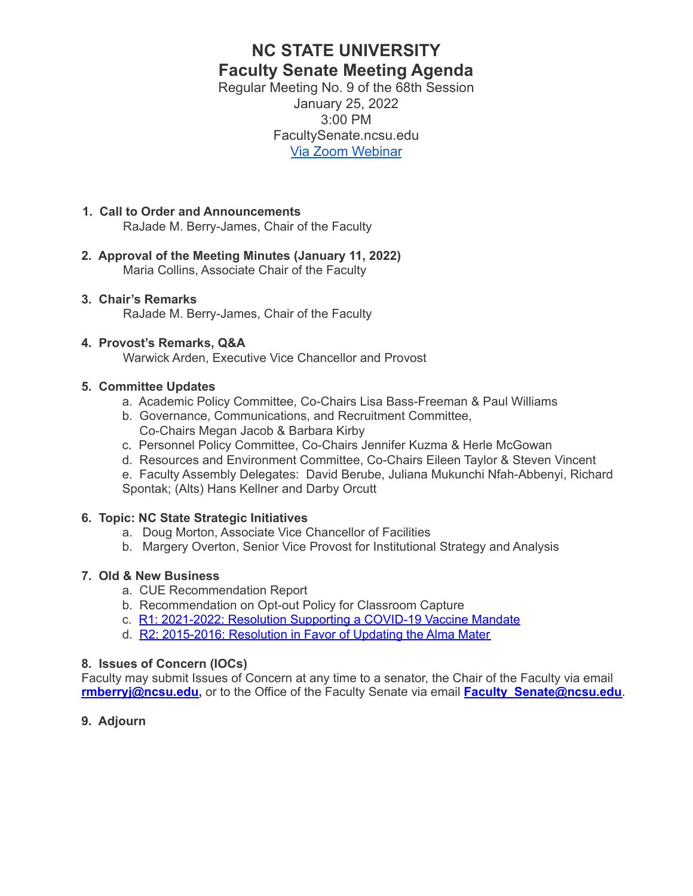# **NC STATE UNIVERSITY Faculty Senate Meeting Agenda**

Regular Meeting No. 9 of the 68th Session January 25, 2022 3:00 PM FacultySenate.ncsu.edu [Via Zoom Webinar](https://ncsu.zoom.us/webinar/register/WN_bP2b1Jn2QFSH0ra_vGK9-w)

## **1. Call to Order and Announcements**

RaJade M. Berry-James, Chair of the Faculty

**2. Approval of the Meeting Minutes (January 11, 2022)** Maria Collins, Associate Chair of the Faculty

## **3. Chair's Remarks**

RaJade M. Berry-James, Chair of the Faculty

## **4. Provost's Remarks, Q&A**

Warwick Arden, Executive Vice Chancellor and Provost

## **5. Committee Updates**

- a. Academic Policy Committee, Co-Chairs Lisa Bass-Freeman & Paul Williams
- b. Governance, Communications, and Recruitment Committee, Co-Chairs Megan Jacob & Barbara Kirby
- c. Personnel Policy Committee, Co-Chairs Jennifer Kuzma & Herle McGowan
- d. Resources and Environment Committee, Co-Chairs Eileen Taylor & Steven Vincent

e. Faculty Assembly Delegates: David Berube, Juliana Mukunchi Nfah-Abbenyi, Richard Spontak; (Alts) Hans Kellner and Darby Orcutt

## **6. Topic: NC State Strategic Initiatives**

- a. Doug Morton, Associate Vice Chancellor of Facilities
- b. Margery Overton, Senior Vice Provost for Institutional Strategy and Analysis

## **7. Old & New Business**

- a. CUE Recommendation Report
- b. Recommendation on Opt-out Policy for Classroom Capture
- c. R1: [2021-2022:](https://facultysenate.ncsu.edu/wp-content/uploads/sites/65/2021/09/NCSU-28th-Faculty-Senate-R1-2021_2022-Resolution-of-COVID-19-Vaccine-Mandate.pdf) Resolution Supporting a COVID-19 Vaccine Mandate
- d. R2: [2015-2016:](https://facultysenate.ncsu.edu/wp-content/uploads/sites/65/2016/05/R2-AlmaMater.pdf) Resolution in Favor of Updating the Alma Mater

## **8. Issues of Concern (IOCs)**

Faculty may submit Issues of Concern at any time to a senator, the Chair of the Faculty via email **[rmberryj@ncsu.edu,](mailto:rmberryj@ncsu.edu)** or to the Office of the Faculty Senate via email **Faculty Senate@ncsu.edu**.

**9. Adjourn**